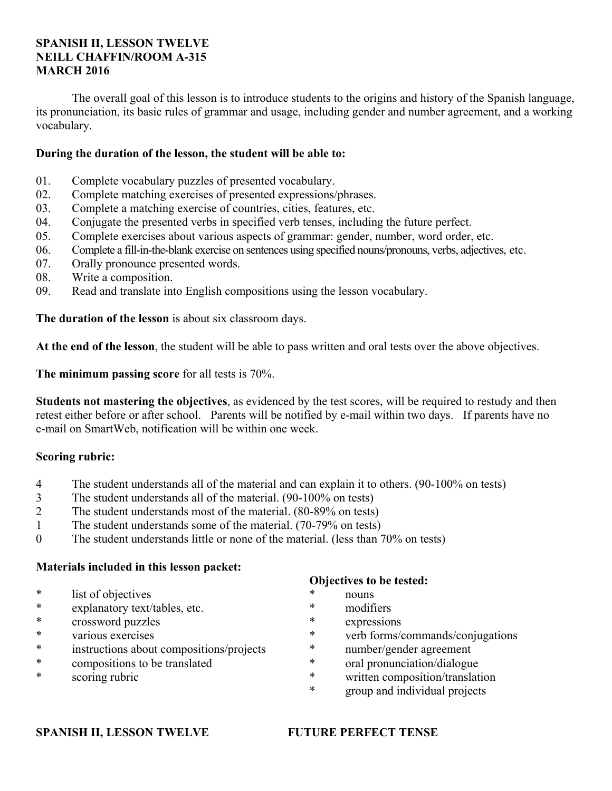# **SPANISH II, LESSON TWELVE NEILL CHAFFIN/ROOM A-315 MARCH 2016**

 The overall goal of this lesson is to introduce students to the origins and history of the Spanish language, its pronunciation, its basic rules of grammar and usage, including gender and number agreement, and a working vocabulary.

# **During the duration of the lesson, the student will be able to:**

- 01. Complete vocabulary puzzles of presented vocabulary.
- 02. Complete matching exercises of presented expressions/phrases.
- 03. Complete a matching exercise of countries, cities, features, etc.
- 04. Conjugate the presented verbs in specified verb tenses, including the future perfect.
- 05. Complete exercises about various aspects of grammar: gender, number, word order, etc.
- 06. Complete a fill-in-the-blank exercise on sentences using specified nouns/pronouns, verbs, adjectives, etc.
- 07. Orally pronounce presented words.
- 08. Write a composition.
- 09. Read and translate into English compositions using the lesson vocabulary.

**The duration of the lesson** is about six classroom days.

**At the end of the lesson**, the student will be able to pass written and oral tests over the above objectives.

**The minimum passing score** for all tests is 70%.

**Students not mastering the objectives**, as evidenced by the test scores, will be required to restudy and then retest either before or after school. Parents will be notified by e-mail within two days. If parents have no e-mail on SmartWeb, notification will be within one week.

# **Scoring rubric:**

- 4 The student understands all of the material and can explain it to others. (90-100% on tests)
- 3 The student understands all of the material. (90-100% on tests)
- 2 The student understands most of the material. (80-89% on tests)
- 1 The student understands some of the material. (70-79% on tests)
- 0 The student understands little or none of the material. (less than 70% on tests)

# **Materials included in this lesson packet:**

- \* list of objectives
- \* explanatory text/tables, etc.
- crossword puzzles
- \* various exercises
- \* instructions about compositions/projects
- \* compositions to be translated
- \* scoring rubric

# **Objectives to be tested:**

- \* nouns
- \* modifiers
- expressions
- \* verb forms/commands/conjugations
- \* number/gender agreement
- \* oral pronunciation/dialogue
- \* written composition/translation
- \* group and individual projects

# **SPANISH II, LESSON TWELVE FUTURE PERFECT TENSE**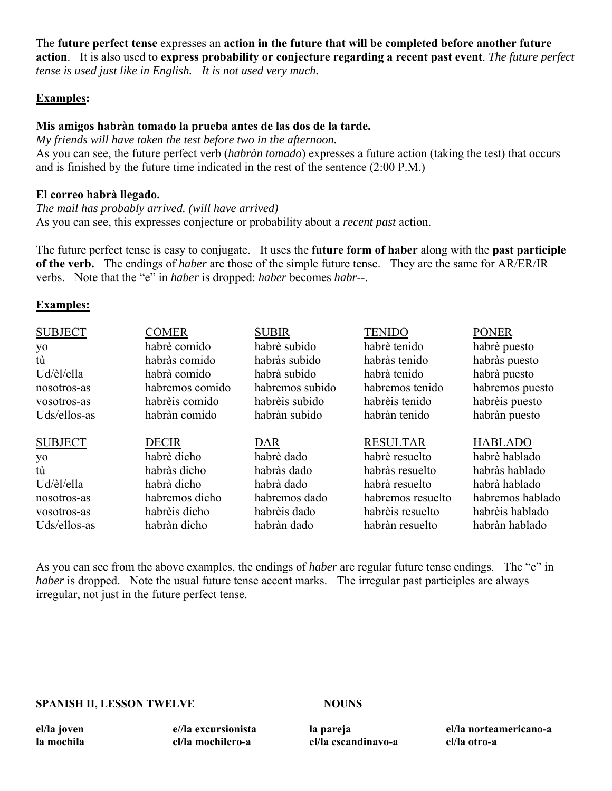The **future perfect tense** expresses an **action in the future that will be completed before another future action**. It is also used to **express probability or conjecture regarding a recent past event**. *The future perfect tense is used just like in English. It is not used very much.*

# **Examples:**

# **Mis amigos habràn tomado la prueba antes de las dos de la tarde.**

*My friends will have taken the test before two in the afternoon.* As you can see, the future perfect verb (*habràn tomado*) expresses a future action (taking the test) that occurs and is finished by the future time indicated in the rest of the sentence (2:00 P.M.)

# **El correo habrà llegado.**

*The mail has probably arrived. (will have arrived)* As you can see, this expresses conjecture or probability about a *recent past* action.

The future perfect tense is easy to conjugate. It uses the **future form of haber** along with the **past participle of the verb.** The endings of *haber* are those of the simple future tense. They are the same for AR/ER/IR verbs. Note that the "e" in *haber* is dropped: *haber* becomes *habr*--.

## **Examples:**

| <b>SUBJECT</b> | <b>COMER</b>    | <b>SUBIR</b>    | <b>TENIDO</b>     | <b>PONER</b>     |
|----------------|-----------------|-----------------|-------------------|------------------|
| yo             | habrè comido    | habrè subido    | habrè tenido      | habrè puesto     |
| tù             | habràs comido   | habràs subido   | habràs tenido     | habràs puesto    |
| Ud/èl/ella     | habrà comido    | habrà subido    | habrà tenido      | habrà puesto     |
| nosotros-as    | habremos comido | habremos subido | habremos tenido   | habremos puesto  |
| vosotros-as    | habrèis comido  | habrèis subido  | habrèis tenido    | habrèis puesto   |
| Uds/ellos-as   | habràn comido   | habràn subido   | habràn tenido     | habràn puesto    |
| <b>SUBJECT</b> | <b>DECIR</b>    | DAR             | <b>RESULTAR</b>   | <b>HABLADO</b>   |
| yo             | habrè dicho     | habrè dado      | habrè resuelto    | habrè hablado    |
| tù             | habràs dicho    | habràs dado     | habràs resuelto   | habràs hablado   |
| Ud/èl/ella     | habrà dicho     | habrà dado      | habrà resuelto    | habrà hablado    |
| nosotros-as    | habremos dicho  | habremos dado   | habremos resuelto | habremos hablado |
| vosotros-as    | habrèis dicho   | habrèis dado    | habrèis resuelto  | habrèis hablado  |
| Uds/ellos-as   | habràn dicho    | habràn dado     | habràn resuelto   | habràn hablado   |

As you can see from the above examples, the endings of *haber* are regular future tense endings. The "e" in *haber* is dropped. Note the usual future tense accent marks. The irregular past participles are always irregular, not just in the future perfect tense.

#### **SPANISH II, LESSON TWELVE NOUNS**

**el/la joven la mochila**  **e//la excursionista el/la mochilero-a** 

**la pareja el/la escandinavo-a** 

**el/la norteamericano-a el/la otro-a**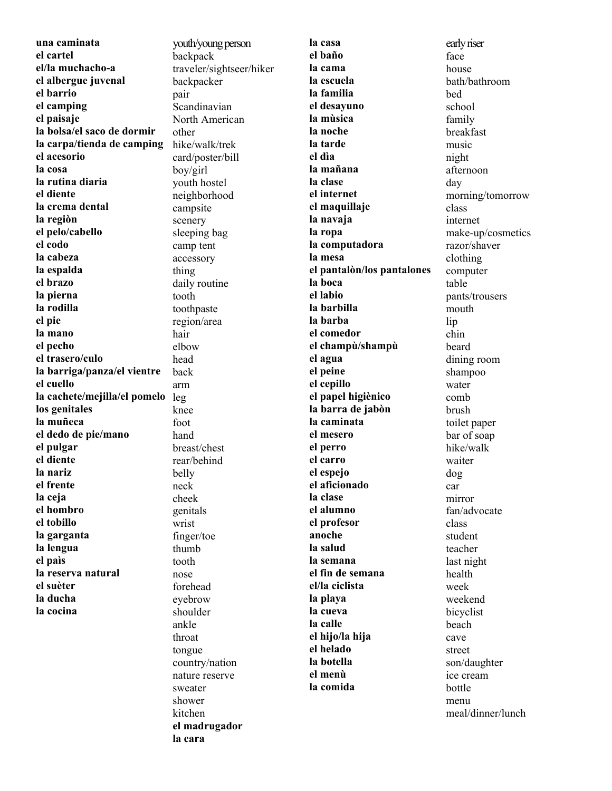**una caminata el cartel el/la muchacho-a el albergue juvenal el barrio el camping el paisaje la bolsa/el saco de dormir la carpa/tienda de camping el acesorio la cosa la rutina diaria el diente la crema dental la regiòn el pelo/cabello el codo la cabeza la espalda el brazo la pierna la rodilla el pie la mano el pecho el trasero/culo la barriga/panza/el vientre el cuello la cachete/mejilla/el pomelo**  leg **los genitales la muñeca el dedo de pie/mano el pulgar el diente la nariz el frente la ceja el hombro el tobillo la garganta la lengua el paìs la reserva natural el suèter la ducha la cocina**

youth/young person backpack traveler/sightseer/hiker backpacker pair Scandinavian North American other hike/walk/trek card/poster/bill boy/girl youth hostel neighborhood campsite scenery sleeping bag camp tent accessory thing daily routine tooth toothpaste region/area hair elbow head back arm knee foot hand breast/chest rear/behind belly neck cheek genitals wrist finger/toe thumb tooth nose forehead eyebrow shoulder ankle throat tongue country/nation nature reserve sweater shower kitchen **el madrugador la cara** 

**la casa el baño la cama la escuela la familia el desayuno la mùsica la noche la tarde el dìa la mañana la clase el internet el maquillaje la navaja la ropa la computadora la mesa el pantalòn/los pantalones la boca el labio la barbilla la barba el comedor el champù/shampù el agua el peine el cepillo el papel higiènico la barra de jabòn la caminata el mesero el perro el carro el espejo el aficionado la clase el alumno el profesor anoche la salud la semana el fin de semana el/la ciclista la playa la cueva la calle el hijo/la hija el helado la botella el menù la comida**

early riser face house bath/bathroom bed school family breakfast music night afternoon day morning/tomorrow class internet make-up/cosmetics razor/shaver clothing computer table pants/trousers mouth lip chin beard dining room shampoo water comb brush toilet paper bar of soap hike/walk waiter dog car mirror fan/advocate class student teacher last night health week weekend bicyclist beach cave street son/daughter ice cream bottle menu meal/dinner/lunch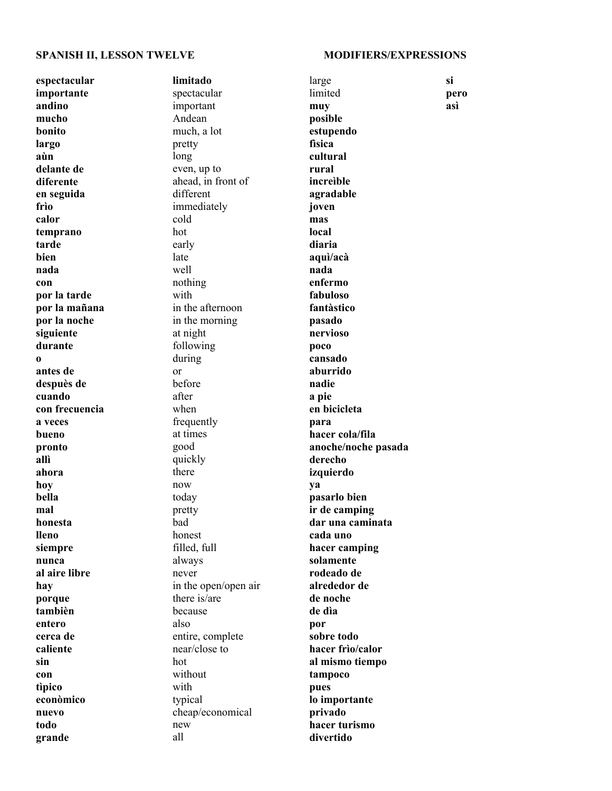#### **SPANISH II, LESSON TWELVE MODIFIERS/EXPRESSIONS**

**espectacular importante andino mucho bonito largo aùn delante de diferente en seguida frìo calor temprano tarde bien nada con por la tarde por la mañana por la noche siguiente durante o antes de despuès de cuando con frecuencia a veces bueno pronto allì ahora hoy bella mal honesta lleno siempre nunca al aire libre hay porque tambièn entero cerca de caliente sin con tìpico econòmico nuevo todo grande** 

**limitado** spectacular important Andean much, a lot pretty long even, up to ahead, in front of different immediately cold hot early late well nothing with in the afternoon in the morning at night following during or before after when frequently at times good quickly there now today pretty bad honest filled, full always never in the open/open air there is/are because also entire, complete near/close to hot without with typical cheap/economical new all

large limited **muy posible estupendo fìsica cultural rural increìble agradable joven mas local diaria aquì/acà nada enfermo fabuloso fantàstico pasado nervioso poco cansado aburrido nadie a pie en bicicleta para hacer cola/fila anoche/noche pasada derecho izquierdo ya pasarlo bien ir de camping dar una caminata cada uno hacer camping solamente rodeado de alrededor de de noche de dìa por sobre todo hacer frìo/calor al mismo tiempo tampoco pues lo importante privado hacer turismo divertido** 

**pero asì**

**si**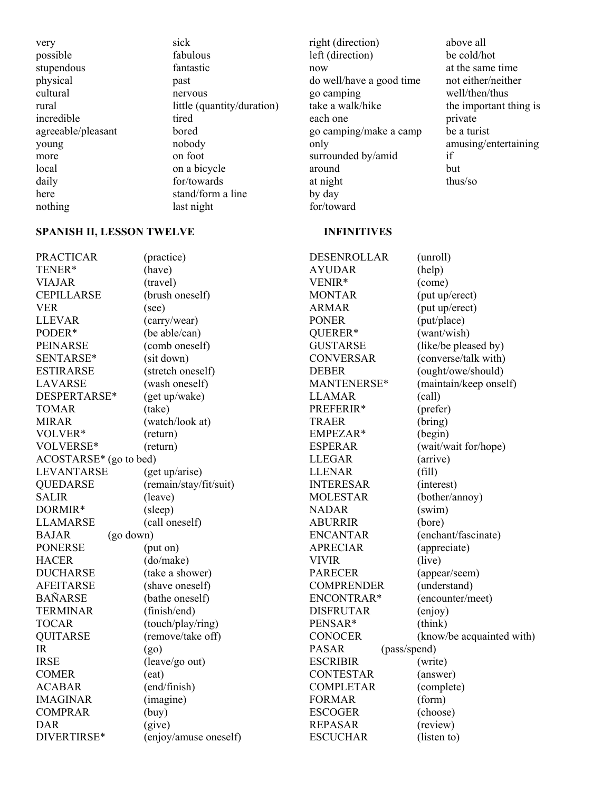very possible stupendous physical cultural rural incredible agreeable/pleasant young more local daily here nothing

sick fabulous fantastic past nervous little (quantity/duration) tired bored nobody on foot on a bicycle for/towards stand/form a line last night

right (direction) left (direction) now do well/have a good time go camping take a walk/hike each one go camping/make a camp only surrounded by/amid around at night by day for/toward

### above all be cold/hot at the same time not either/neither well/then/thus the important thing is private be a turist amusing/entertaining if but thus/so

#### **SPANISH II, LESSON TWELVE INFINITIVES**

PRACTICAR (practice) TENER\* (have) VIAJAR (travel) CEPILLARSE (brush oneself) VER (see) LLEVAR (carry/wear) PODER\* (be able/can) PEINARSE (comb oneself) SENTARSE\* (sit down) ESTIRARSE (stretch oneself) LAVARSE (wash oneself) DESPERTARSE\* (get up/wake) TOMAR (take) MIRAR (watch/look at) VOLVER\* (return) VOLVERSE\* (return) ACOSTARSE\* (go to bed) LEVANTARSE (get up/arise) QUEDARSE (remain/stay/fit/suit) SALIR (leave) DORMIR\* (sleep) LLAMARSE (call oneself) BAJAR (go down) PONERSE (put on) HACER (do/make) DUCHARSE (take a shower) AFEITARSE (shave oneself) BAÑARSE (bathe oneself) TERMINAR (finish/end) TOCAR (touch/play/ring) QUITARSE (remove/take off)  $IR$  (go) IRSE (leave/go out) COMER (eat) ACABAR (end/finish) IMAGINAR (imagine) COMPRAR (buy) DAR (give) DIVERTIRSE\* (enjoy/amuse oneself) DESENROLLAR (unroll) AYUDAR (help) VENIR\* (come) MONTAR (put up/erect) ARMAR (put up/erect) PONER (put/place) QUERER\* (want/wish) GUSTARSE (like/be pleased by) CONVERSAR (converse/talk with) DEBER (ought/owe/should) MANTENERSE\* (maintain/keep onself) LLAMAR (call) PREFERIR\* (prefer) TRAER (bring) EMPEZAR\* (begin) ESPERAR (wait/wait for/hope) LLEGAR (arrive) LLENAR (fill) INTERESAR (interest) MOLESTAR (bother/annoy) NADAR (swim) ABURRIR (bore) ENCANTAR (enchant/fascinate) APRECIAR (appreciate) VIVIR (live) PARECER (appear/seem) COMPRENDER (understand) ENCONTRAR\* (encounter/meet) DISFRUTAR (enjoy) PENSAR\* (think) CONOCER (know/be acquainted with) PASAR (pass/spend) ESCRIBIR (write) CONTESTAR (answer) COMPLETAR (complete) FORMAR (form) ESCOGER (choose) REPASAR (review) ESCUCHAR (listen to)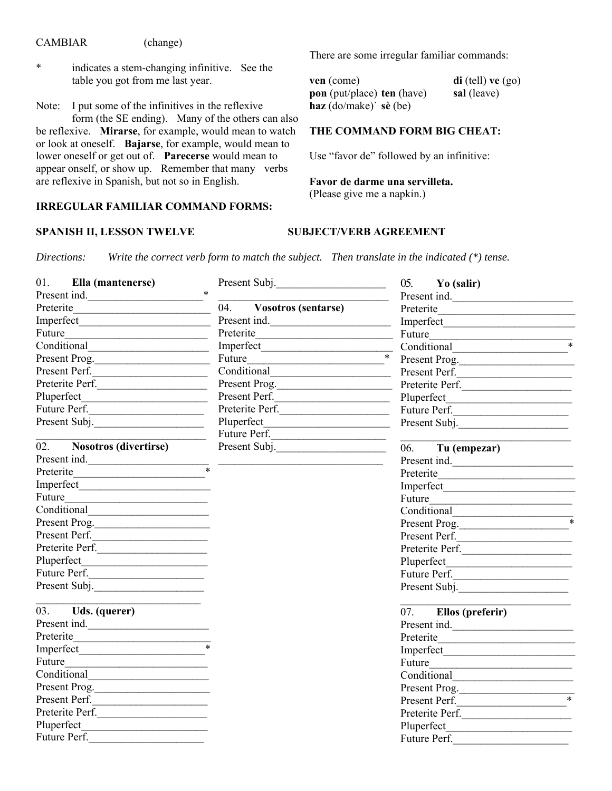### **CAMBIAR**

- (change)
- $\ast$ indicates a stem-changing infinitive. See the table you got from me last year.

I put some of the infinitives in the reflexive Note: form (the SE ending). Many of the others can also be reflexive. Mirarse, for example, would mean to watch or look at oneself. Bajarse, for example, would mean to lower oneself or get out of. Parecerse would mean to appear onself, or show up. Remember that many verbs are reflexive in Spanish, but not so in English.

#### **IRREGULAR FAMILIAR COMMAND FORMS:**

### SPANISH II, LESSON TWELVE

There are some irregular familiar commands:

ven (come)  $di$  (tell) ve  $(go)$ pon (put/place) ten (have) sal (leave) haz  $(do/make)$  sè  $(be)$ 

# THE COMMAND FORM BIG CHEAT:

Use "favor de" followed by an infinitive:

Favor de darme una servilleta. (Please give me a napkin.)

# **SUBJECT/VERB AGREEMENT**

Write the correct verb form to match the subject. Then translate in the indicated  $(*)$  tense. Directions:

| 01.<br>Ella (mantenerse)                                        | Present Subj.           | $05.$ Yo (salir)                                  |
|-----------------------------------------------------------------|-------------------------|---------------------------------------------------|
| Present ind.                                                    |                         | Present ind.                                      |
|                                                                 | 04. Vosotros (sentarse) |                                                   |
|                                                                 |                         |                                                   |
| Future                                                          |                         | Preterite Future                                  |
|                                                                 |                         | Imperfect<br>Euture * Conditional<br>Procent Proc |
| Present Prog.                                                   | Future                  | Present Prog.                                     |
| Present Perf.                                                   |                         | Present Perf.                                     |
| Preterite Perf.                                                 | Present Prog.           | Preterite Perf.                                   |
| Pluperfect                                                      | Present Perf.           |                                                   |
| Future Perf.                                                    | Preterite Perf.         | Future Perf.                                      |
| Present Subj.                                                   |                         | Present Subj.                                     |
|                                                                 | Future Perf.            |                                                   |
| 02. Nosotros (divertirse)                                       | Present Subj.           | 06. Tu (empezar)                                  |
| Present ind. $*$                                                |                         | Present ind.                                      |
| Preterite                                                       |                         |                                                   |
| Imperfect                                                       |                         | Imperfect                                         |
| Future                                                          |                         | Future                                            |
|                                                                 |                         | Conditional                                       |
| Present Prog.                                                   |                         | Present Prog.                                     |
| Present Perf.                                                   |                         | Present Perf.                                     |
| Preterite Perf.                                                 |                         | Preterite Perf.                                   |
|                                                                 |                         |                                                   |
| Future Perf.                                                    |                         | Future Perf.                                      |
| Present Subj.                                                   |                         | Present Subj.                                     |
| $\overline{03}$ . Uds. (querer)                                 |                         | $\overline{07}$ . Ellos (preferir)                |
| Present ind.                                                    |                         | Present ind.                                      |
|                                                                 |                         |                                                   |
|                                                                 |                         | Imperfect                                         |
|                                                                 |                         | Future                                            |
|                                                                 |                         |                                                   |
| Present Prog.                                                   |                         | Present Prog.                                     |
| Present Perf.                                                   |                         | $\overline{\phantom{0}}$<br>Present Perf.         |
| Preterite Perf.                                                 |                         | Preterite Perf.                                   |
| Pluperfect<br><u> 1989 - Johann Barbara, martxa alemaniar a</u> |                         | Pluperfect                                        |
| Future Perf.                                                    |                         | Future Perf.                                      |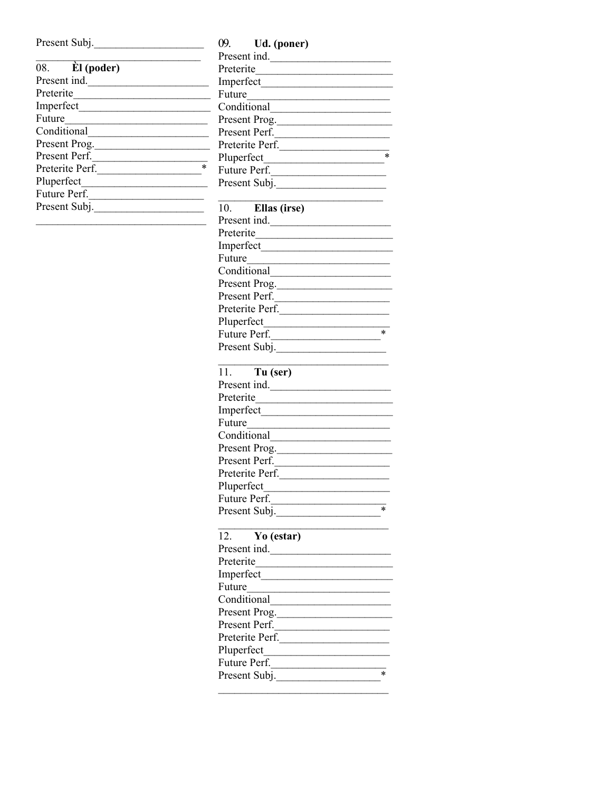| Present Subj. |  |  |
|---------------|--|--|
|               |  |  |

| 08. El (poder)  |   |
|-----------------|---|
| Present ind.    |   |
| Preterite       |   |
| Imperfect       |   |
| Future          |   |
| Conditional     |   |
| Present Prog.   |   |
| Present Perf.   |   |
| Preterite Perf. | × |
| Pluperfect      |   |
| Future Perf.    |   |
| Present Subj.   |   |
|                 |   |

09. Ud. (poner) Present ind. Preterite Imperfect Future Conditional Present Prog. Present Perf. Preterite Perf. Future Perf. Present Subj. Ellas (irse)  $10.$ Present ind. Preterite Imperfect Future Conditional Present Prog. Present Perf. Preterite Perf. Future Perf. Present Subj. 11. Tu (ser) Present ind. Imperfect Future Conditional Present Prog. Present Perf. Preterite Perf. Future Perf. Present Subj. <u> 1999 - Jan Jawa</u>  $12.$ Yo (estar) Present ind.

| Preterite       |   |
|-----------------|---|
| Imperfect       |   |
| Future          |   |
| Conditional     |   |
| Present Prog.   |   |
| Present Perf.   |   |
| Preterite Perf. |   |
| Pluperfect      |   |
| Future Perf.    |   |
| Present Subj.   | * |
|                 |   |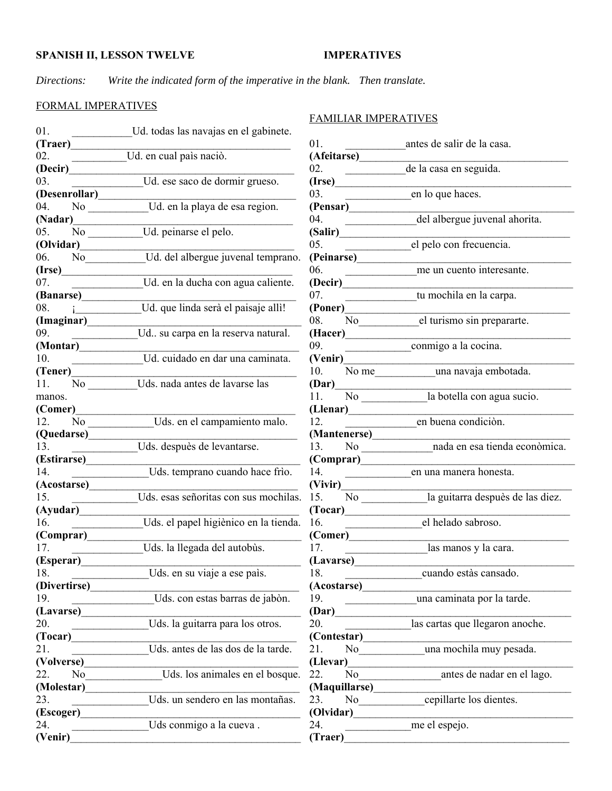# **IMPERATIVES**

Directions: Write the indicated form of the imperative in the blank. Then translate.

# FORMAL IMPERATIVES

| 01.               | Ud. todas las navajas en el gabinete. |
|-------------------|---------------------------------------|
| (Traer)           |                                       |
| 02.               | Ud. en cual paìs naciò.               |
| (Decir)           |                                       |
| 03.               | Ud. ese saco de dormir grueso.        |
| (Desenrollar)     |                                       |
| 04.<br>No.        | Ud. en la playa de esa region.        |
| (Nadar)           |                                       |
| 05.<br>No         | Ud. peinarse el pelo.                 |
| (Olvidar)         |                                       |
| 06. No            | Ud. del albergue juvenal temprano.    |
| $($ Irse $)$      |                                       |
| 07.               | Ud. en la ducha con agua caliente.    |
| (Banarse)         |                                       |
| 08.               | Ud. que linda serà el paisaje allì!   |
| (Imaginar)        |                                       |
| 09.               | Ud su carpa en la reserva natural.    |
| (Montar)          |                                       |
| 10.               | Ud. cuidado en dar una caminata.      |
| (Tener)           |                                       |
| 11.<br>No         | Uds. nada antes de lavarse las        |
| manos.            |                                       |
| (Comer)           |                                       |
| 12. No            | Uds. en el campamiento malo.          |
| (Quedarse)        |                                       |
| 13.               | Uds. despuès de levantarse.           |
| (Estirarse)       |                                       |
| 14.               | Uds. temprano cuando hace frìo.       |
| (Acostarse)       |                                       |
| 15.               | Uds. esas señoritas con sus mochilas. |
| (Ayudar)          |                                       |
| 16.               | Uds. el papel higiènico en la tienda. |
| (Comprar)         |                                       |
| 17.               | Uds. la llegada del autobùs.          |
| (Esperar)         |                                       |
| 18.               | Uds. en su viaje a ese país.          |
| (Divertirse)      |                                       |
| 19.               | Uds. con estas barras de jabòn.       |
| (Lavarse)         |                                       |
| 20.               | Uds. la guitarra para los otros.      |
| (Tocar)<br>21.    | Uds. antes de las dos de la tarde.    |
| (Volverse)        |                                       |
| No                |                                       |
| 22.<br>(Molestar) | Uds. los animales en el bosque.       |
| 23.               | Uds. un sendero en las montañas.      |
| (Escoger)         |                                       |
| 24.               | Uds conmigo a la cueva.               |
| (Venir)           |                                       |
|                   |                                       |

# FAMILIAR IMPERATIVES

| 01.                                                                        | antes de salir de la casa.                                          |
|----------------------------------------------------------------------------|---------------------------------------------------------------------|
| (Afeitarse)                                                                |                                                                     |
| 02.                                                                        | de la casa en seguida.                                              |
| (Irse)                                                                     |                                                                     |
| 03.                                                                        | en lo que haces.                                                    |
| (Pensar)                                                                   |                                                                     |
| 04.                                                                        | del albergue juvenal ahorita.                                       |
| (Salir)                                                                    |                                                                     |
| 0.5 <sub>1</sub><br>(Peinarse)                                             | el pelo con frecuencia.                                             |
| 06.                                                                        | me un cuento interesante.                                           |
| (Decir)                                                                    |                                                                     |
| 07.                                                                        | tu mochila en la carpa.                                             |
| (Poner)                                                                    |                                                                     |
|                                                                            | el turismo sin prepararte.                                          |
| (Hacer)                                                                    |                                                                     |
| 09.                                                                        | conmigo a la cocina.                                                |
| (Venir)                                                                    |                                                                     |
| 10. No me                                                                  | una navaja embotada.                                                |
| (Dar)                                                                      |                                                                     |
|                                                                            | 11. No la botella con agua sucio.                                   |
| (Llenar)                                                                   |                                                                     |
| 12.                                                                        | en buena condiciòn.                                                 |
| (Mantenerse)                                                               |                                                                     |
| 13. No $\frac{1}{\sqrt{1-\frac{1}{2}}}\left\lceil \frac{1}{2}\right\rceil$ | nada en esa tienda econòmica.                                       |
| (Comparar)                                                                 |                                                                     |
| 14.                                                                        | en una manera honesta.                                              |
| (Vivir)                                                                    |                                                                     |
| $N$ o<br>15.                                                               | la guitarra despuès de las diez.                                    |
| (Tocar)<br>16.                                                             | el helado sabroso.                                                  |
| (Comer)                                                                    |                                                                     |
| 17.                                                                        | las manos y la cara.                                                |
| (Lavarse)                                                                  |                                                                     |
| 18.                                                                        | cuando estàs cansado.                                               |
|                                                                            | 18. cuando estas cansado.<br>(Acostarse) una caminata por la tarde. |
|                                                                            |                                                                     |
| (Dar)                                                                      |                                                                     |
| 20.                                                                        | las cartas que llegaron anoche.                                     |
| (Contextar)                                                                |                                                                     |
| 21.                                                                        | No una mochila muy pesada.                                          |
| (Llevar)                                                                   |                                                                     |
| 22.<br>No                                                                  | antes de nadar en el lago.                                          |
|                                                                            |                                                                     |
| 23. No                                                                     | cepillarte los dientes.                                             |
| $\sqrt{(Olvidar)}$                                                         |                                                                     |
| 24.                                                                        | me el espejo.                                                       |
| (Traer)                                                                    |                                                                     |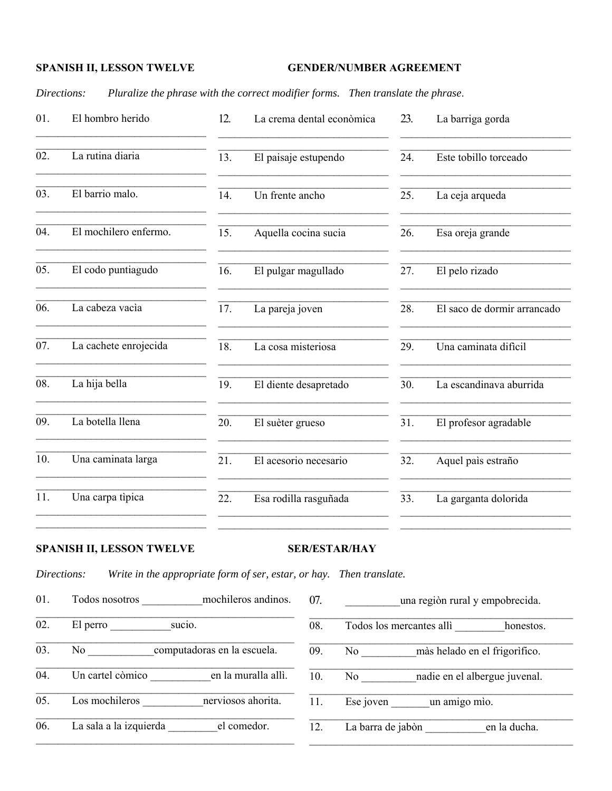### **GENDER/NUMBER AGREEMENT**

Directions: Pluralize the phrase with the correct modifier forms. Then translate the phrase.

| 01. | El hombro herido      | 12. | La crema dental econòmica | 23. | La barriga gorda            |
|-----|-----------------------|-----|---------------------------|-----|-----------------------------|
| 02. | La rutina diaria      | 13. | El paisaje estupendo      | 24. | Este tobillo torceado       |
| 03. | El barrio malo.       | 14. | Un frente ancho           | 25. | La ceja arqueda             |
| 04. | El mochilero enfermo. | 15. | Aquella cocina sucia      | 26. | Esa oreja grande            |
| 05. | El codo puntiagudo    | 16. | El pulgar magullado       | 27. | El pelo rizado              |
| 06. | La cabeza vacìa       | 17. | La pareja joven           | 28. | El saco de dormir arrancado |
| 07. | La cachete enrojecida | 18. | La cosa misteriosa        | 29. | Una caminata dificil        |
| 08. | La hija bella         | 19. | El diente desapretado     | 30. | La escandinava aburrida     |
| 09. | La botella llena      | 20. | El suèter grueso          | 31. | El profesor agradable       |
| 10. | Una caminata larga    | 21. | El acesorio necesario     | 32. | Aquel paìs estraño          |
| 11. | Una carpa tìpica      | 22. | Esa rodilla rasguñada     | 33. | La garganta dolorida        |
|     |                       |     |                           |     |                             |

## **SPANISH II, LESSON TWELVE**

#### **SER/ESTAR/HAY**

Directions: Write in the appropriate form of ser, estar, or hay. Then translate.

Todos nosotros mochileros andinos. 01. 07. una regiòn rural y empobrecida.  $\overline{02}$ . El perro sucio.  $\overline{08}$ . Todos los mercantes alli honestos. No computadoras en la escuela. 03.  $\overline{09}$ . No màs helado en el frigorífico. Un cartel còmico en la muralla allì. No nadie en el albergue juvenal.  $\overline{04}$ .  $\overline{10}$ .  $\overline{05}$ . Los mochileros nerviosos ahorita. 11. Ese joven un amigo mio. La sala a la izquierda el comedor. La barra de jabòn en la ducha. 06.  $\overline{12}$ .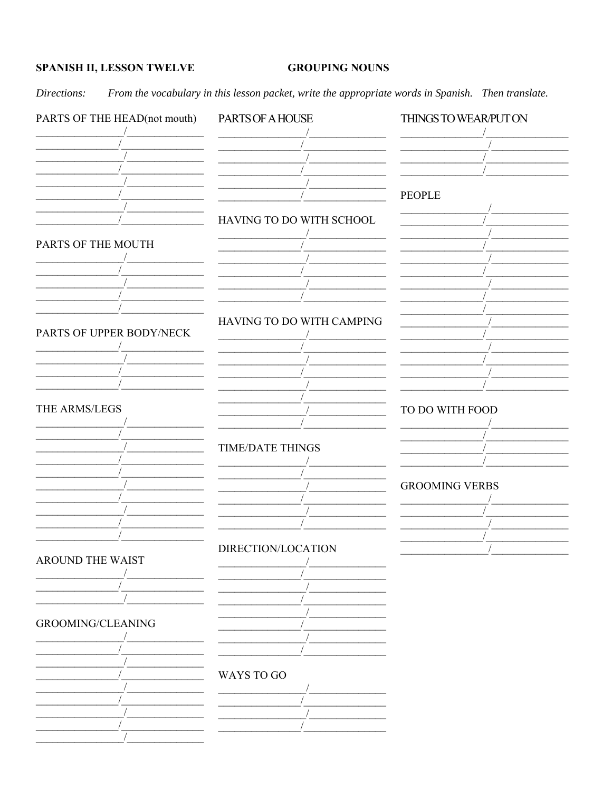#### **GROUPING NOUNS**

Directions: From the vocabulary in this lesson packet, write the appropriate words in Spanish. Then translate.

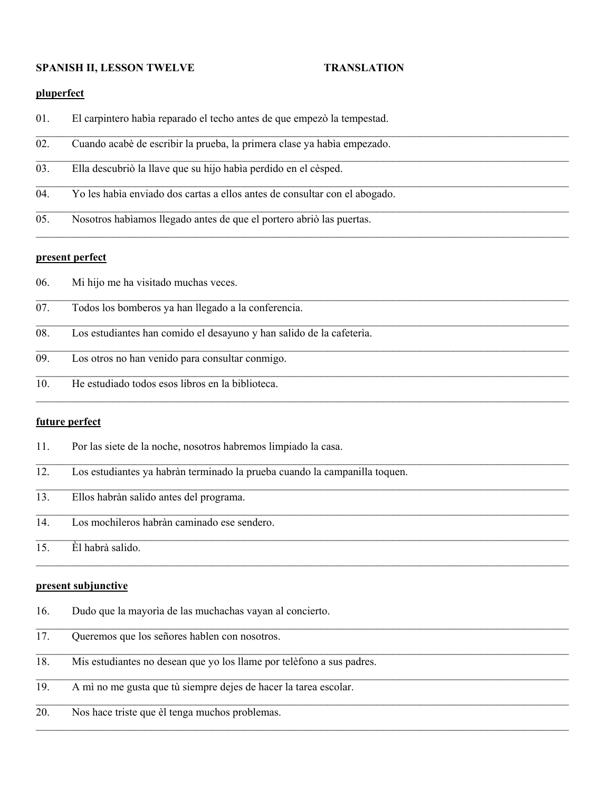### **SPANISH II, LESSON TWELVE TRANSLATION**

 $\mathcal{L}_\mathcal{L} = \mathcal{L}_\mathcal{L} = \mathcal{L}_\mathcal{L} = \mathcal{L}_\mathcal{L} = \mathcal{L}_\mathcal{L} = \mathcal{L}_\mathcal{L} = \mathcal{L}_\mathcal{L} = \mathcal{L}_\mathcal{L} = \mathcal{L}_\mathcal{L} = \mathcal{L}_\mathcal{L} = \mathcal{L}_\mathcal{L} = \mathcal{L}_\mathcal{L} = \mathcal{L}_\mathcal{L} = \mathcal{L}_\mathcal{L} = \mathcal{L}_\mathcal{L} = \mathcal{L}_\mathcal{L} = \mathcal{L}_\mathcal{L}$ 

 $\mathcal{L}_\mathcal{L} = \mathcal{L}_\mathcal{L} = \mathcal{L}_\mathcal{L} = \mathcal{L}_\mathcal{L} = \mathcal{L}_\mathcal{L} = \mathcal{L}_\mathcal{L} = \mathcal{L}_\mathcal{L} = \mathcal{L}_\mathcal{L} = \mathcal{L}_\mathcal{L} = \mathcal{L}_\mathcal{L} = \mathcal{L}_\mathcal{L} = \mathcal{L}_\mathcal{L} = \mathcal{L}_\mathcal{L} = \mathcal{L}_\mathcal{L} = \mathcal{L}_\mathcal{L} = \mathcal{L}_\mathcal{L} = \mathcal{L}_\mathcal{L}$ 

 $\mathcal{L}_\mathcal{L} = \mathcal{L}_\mathcal{L} = \mathcal{L}_\mathcal{L} = \mathcal{L}_\mathcal{L} = \mathcal{L}_\mathcal{L} = \mathcal{L}_\mathcal{L} = \mathcal{L}_\mathcal{L} = \mathcal{L}_\mathcal{L} = \mathcal{L}_\mathcal{L} = \mathcal{L}_\mathcal{L} = \mathcal{L}_\mathcal{L} = \mathcal{L}_\mathcal{L} = \mathcal{L}_\mathcal{L} = \mathcal{L}_\mathcal{L} = \mathcal{L}_\mathcal{L} = \mathcal{L}_\mathcal{L} = \mathcal{L}_\mathcal{L}$ 

 $\mathcal{L}_\mathcal{L} = \mathcal{L}_\mathcal{L} = \mathcal{L}_\mathcal{L} = \mathcal{L}_\mathcal{L} = \mathcal{L}_\mathcal{L} = \mathcal{L}_\mathcal{L} = \mathcal{L}_\mathcal{L} = \mathcal{L}_\mathcal{L} = \mathcal{L}_\mathcal{L} = \mathcal{L}_\mathcal{L} = \mathcal{L}_\mathcal{L} = \mathcal{L}_\mathcal{L} = \mathcal{L}_\mathcal{L} = \mathcal{L}_\mathcal{L} = \mathcal{L}_\mathcal{L} = \mathcal{L}_\mathcal{L} = \mathcal{L}_\mathcal{L}$ 

 $\mathcal{L}_\mathcal{L} = \mathcal{L}_\mathcal{L} = \mathcal{L}_\mathcal{L} = \mathcal{L}_\mathcal{L} = \mathcal{L}_\mathcal{L} = \mathcal{L}_\mathcal{L} = \mathcal{L}_\mathcal{L} = \mathcal{L}_\mathcal{L} = \mathcal{L}_\mathcal{L} = \mathcal{L}_\mathcal{L} = \mathcal{L}_\mathcal{L} = \mathcal{L}_\mathcal{L} = \mathcal{L}_\mathcal{L} = \mathcal{L}_\mathcal{L} = \mathcal{L}_\mathcal{L} = \mathcal{L}_\mathcal{L} = \mathcal{L}_\mathcal{L}$ 

 $\mathcal{L}_\mathcal{L} = \mathcal{L}_\mathcal{L} = \mathcal{L}_\mathcal{L} = \mathcal{L}_\mathcal{L} = \mathcal{L}_\mathcal{L} = \mathcal{L}_\mathcal{L} = \mathcal{L}_\mathcal{L} = \mathcal{L}_\mathcal{L} = \mathcal{L}_\mathcal{L} = \mathcal{L}_\mathcal{L} = \mathcal{L}_\mathcal{L} = \mathcal{L}_\mathcal{L} = \mathcal{L}_\mathcal{L} = \mathcal{L}_\mathcal{L} = \mathcal{L}_\mathcal{L} = \mathcal{L}_\mathcal{L} = \mathcal{L}_\mathcal{L}$ 

 $\mathcal{L}_\mathcal{L} = \mathcal{L}_\mathcal{L} = \mathcal{L}_\mathcal{L} = \mathcal{L}_\mathcal{L} = \mathcal{L}_\mathcal{L} = \mathcal{L}_\mathcal{L} = \mathcal{L}_\mathcal{L} = \mathcal{L}_\mathcal{L} = \mathcal{L}_\mathcal{L} = \mathcal{L}_\mathcal{L} = \mathcal{L}_\mathcal{L} = \mathcal{L}_\mathcal{L} = \mathcal{L}_\mathcal{L} = \mathcal{L}_\mathcal{L} = \mathcal{L}_\mathcal{L} = \mathcal{L}_\mathcal{L} = \mathcal{L}_\mathcal{L}$ 

 $\mathcal{L}_\mathcal{L} = \mathcal{L}_\mathcal{L} = \mathcal{L}_\mathcal{L} = \mathcal{L}_\mathcal{L} = \mathcal{L}_\mathcal{L} = \mathcal{L}_\mathcal{L} = \mathcal{L}_\mathcal{L} = \mathcal{L}_\mathcal{L} = \mathcal{L}_\mathcal{L} = \mathcal{L}_\mathcal{L} = \mathcal{L}_\mathcal{L} = \mathcal{L}_\mathcal{L} = \mathcal{L}_\mathcal{L} = \mathcal{L}_\mathcal{L} = \mathcal{L}_\mathcal{L} = \mathcal{L}_\mathcal{L} = \mathcal{L}_\mathcal{L}$ 

 $\mathcal{L}_\mathcal{L} = \mathcal{L}_\mathcal{L} = \mathcal{L}_\mathcal{L} = \mathcal{L}_\mathcal{L} = \mathcal{L}_\mathcal{L} = \mathcal{L}_\mathcal{L} = \mathcal{L}_\mathcal{L} = \mathcal{L}_\mathcal{L} = \mathcal{L}_\mathcal{L} = \mathcal{L}_\mathcal{L} = \mathcal{L}_\mathcal{L} = \mathcal{L}_\mathcal{L} = \mathcal{L}_\mathcal{L} = \mathcal{L}_\mathcal{L} = \mathcal{L}_\mathcal{L} = \mathcal{L}_\mathcal{L} = \mathcal{L}_\mathcal{L}$ 

 $\mathcal{L}_\mathcal{L} = \mathcal{L}_\mathcal{L} = \mathcal{L}_\mathcal{L} = \mathcal{L}_\mathcal{L} = \mathcal{L}_\mathcal{L} = \mathcal{L}_\mathcal{L} = \mathcal{L}_\mathcal{L} = \mathcal{L}_\mathcal{L} = \mathcal{L}_\mathcal{L} = \mathcal{L}_\mathcal{L} = \mathcal{L}_\mathcal{L} = \mathcal{L}_\mathcal{L} = \mathcal{L}_\mathcal{L} = \mathcal{L}_\mathcal{L} = \mathcal{L}_\mathcal{L} = \mathcal{L}_\mathcal{L} = \mathcal{L}_\mathcal{L}$ 

 $\mathcal{L}_\mathcal{L} = \mathcal{L}_\mathcal{L} = \mathcal{L}_\mathcal{L} = \mathcal{L}_\mathcal{L} = \mathcal{L}_\mathcal{L} = \mathcal{L}_\mathcal{L} = \mathcal{L}_\mathcal{L} = \mathcal{L}_\mathcal{L} = \mathcal{L}_\mathcal{L} = \mathcal{L}_\mathcal{L} = \mathcal{L}_\mathcal{L} = \mathcal{L}_\mathcal{L} = \mathcal{L}_\mathcal{L} = \mathcal{L}_\mathcal{L} = \mathcal{L}_\mathcal{L} = \mathcal{L}_\mathcal{L} = \mathcal{L}_\mathcal{L}$ 

 $\mathcal{L}_\mathcal{L} = \mathcal{L}_\mathcal{L} = \mathcal{L}_\mathcal{L} = \mathcal{L}_\mathcal{L} = \mathcal{L}_\mathcal{L} = \mathcal{L}_\mathcal{L} = \mathcal{L}_\mathcal{L} = \mathcal{L}_\mathcal{L} = \mathcal{L}_\mathcal{L} = \mathcal{L}_\mathcal{L} = \mathcal{L}_\mathcal{L} = \mathcal{L}_\mathcal{L} = \mathcal{L}_\mathcal{L} = \mathcal{L}_\mathcal{L} = \mathcal{L}_\mathcal{L} = \mathcal{L}_\mathcal{L} = \mathcal{L}_\mathcal{L}$ 

 $\mathcal{L}_\mathcal{L} = \mathcal{L}_\mathcal{L} = \mathcal{L}_\mathcal{L} = \mathcal{L}_\mathcal{L} = \mathcal{L}_\mathcal{L} = \mathcal{L}_\mathcal{L} = \mathcal{L}_\mathcal{L} = \mathcal{L}_\mathcal{L} = \mathcal{L}_\mathcal{L} = \mathcal{L}_\mathcal{L} = \mathcal{L}_\mathcal{L} = \mathcal{L}_\mathcal{L} = \mathcal{L}_\mathcal{L} = \mathcal{L}_\mathcal{L} = \mathcal{L}_\mathcal{L} = \mathcal{L}_\mathcal{L} = \mathcal{L}_\mathcal{L}$ 

 $\mathcal{L}_\mathcal{L} = \mathcal{L}_\mathcal{L} = \mathcal{L}_\mathcal{L} = \mathcal{L}_\mathcal{L} = \mathcal{L}_\mathcal{L} = \mathcal{L}_\mathcal{L} = \mathcal{L}_\mathcal{L} = \mathcal{L}_\mathcal{L} = \mathcal{L}_\mathcal{L} = \mathcal{L}_\mathcal{L} = \mathcal{L}_\mathcal{L} = \mathcal{L}_\mathcal{L} = \mathcal{L}_\mathcal{L} = \mathcal{L}_\mathcal{L} = \mathcal{L}_\mathcal{L} = \mathcal{L}_\mathcal{L} = \mathcal{L}_\mathcal{L}$ 

 $\mathcal{L}_\mathcal{L} = \mathcal{L}_\mathcal{L} = \mathcal{L}_\mathcal{L} = \mathcal{L}_\mathcal{L} = \mathcal{L}_\mathcal{L} = \mathcal{L}_\mathcal{L} = \mathcal{L}_\mathcal{L} = \mathcal{L}_\mathcal{L} = \mathcal{L}_\mathcal{L} = \mathcal{L}_\mathcal{L} = \mathcal{L}_\mathcal{L} = \mathcal{L}_\mathcal{L} = \mathcal{L}_\mathcal{L} = \mathcal{L}_\mathcal{L} = \mathcal{L}_\mathcal{L} = \mathcal{L}_\mathcal{L} = \mathcal{L}_\mathcal{L}$ 

 $\mathcal{L}_\mathcal{L} = \mathcal{L}_\mathcal{L} = \mathcal{L}_\mathcal{L} = \mathcal{L}_\mathcal{L} = \mathcal{L}_\mathcal{L} = \mathcal{L}_\mathcal{L} = \mathcal{L}_\mathcal{L} = \mathcal{L}_\mathcal{L} = \mathcal{L}_\mathcal{L} = \mathcal{L}_\mathcal{L} = \mathcal{L}_\mathcal{L} = \mathcal{L}_\mathcal{L} = \mathcal{L}_\mathcal{L} = \mathcal{L}_\mathcal{L} = \mathcal{L}_\mathcal{L} = \mathcal{L}_\mathcal{L} = \mathcal{L}_\mathcal{L}$ 

### **pluperfect**

- 01. El carpintero habìa reparado el techo antes de que empezò la tempestad.
- 02. Cuando acabè de escribir la prueba, la primera clase ya habìa empezado.
- 03. Ella descubriò la llave que su hijo habìa perdido en el cèsped.
- 04. Yo les habìa enviado dos cartas a ellos antes de consultar con el abogado.
- 05. Nosotros habìamos llegado antes de que el portero abriò las puertas.

#### **present perfect**

- 06. Mi hijo me ha visitado muchas veces.
- 07. Todos los bomberos ya han llegado a la conferencia.
- 08. Los estudiantes han comido el desayuno y han salido de la cafeterìa.
- 09. Los otros no han venido para consultar conmigo.
- 10. He estudiado todos esos libros en la biblioteca.

#### **future perfect**

- 11. Por las siete de la noche, nosotros habremos limpiado la casa.
- 12. Los estudiantes ya habràn terminado la prueba cuando la campanilla toquen.
- 13. Ellos habràn salido antes del programa.
- 14. Los mochileros habràn caminado ese sendero.
- 15. Èl habrà salido.

#### **present subjunctive**

- 16. Dudo que la mayorìa de las muchachas vayan al concierto.
- 17. Queremos que los señores hablen con nosotros.
- 18. Mis estudiantes no desean que yo los llame por telèfono a sus padres.  $\mathcal{L}_\mathcal{L} = \mathcal{L}_\mathcal{L} = \mathcal{L}_\mathcal{L} = \mathcal{L}_\mathcal{L} = \mathcal{L}_\mathcal{L} = \mathcal{L}_\mathcal{L} = \mathcal{L}_\mathcal{L} = \mathcal{L}_\mathcal{L} = \mathcal{L}_\mathcal{L} = \mathcal{L}_\mathcal{L} = \mathcal{L}_\mathcal{L} = \mathcal{L}_\mathcal{L} = \mathcal{L}_\mathcal{L} = \mathcal{L}_\mathcal{L} = \mathcal{L}_\mathcal{L} = \mathcal{L}_\mathcal{L} = \mathcal{L}_\mathcal{L}$
- 19. A mì no me gusta que tù siempre dejes de hacer la tarea escolar.
- 20. Nos hace triste que èl tenga muchos problemas.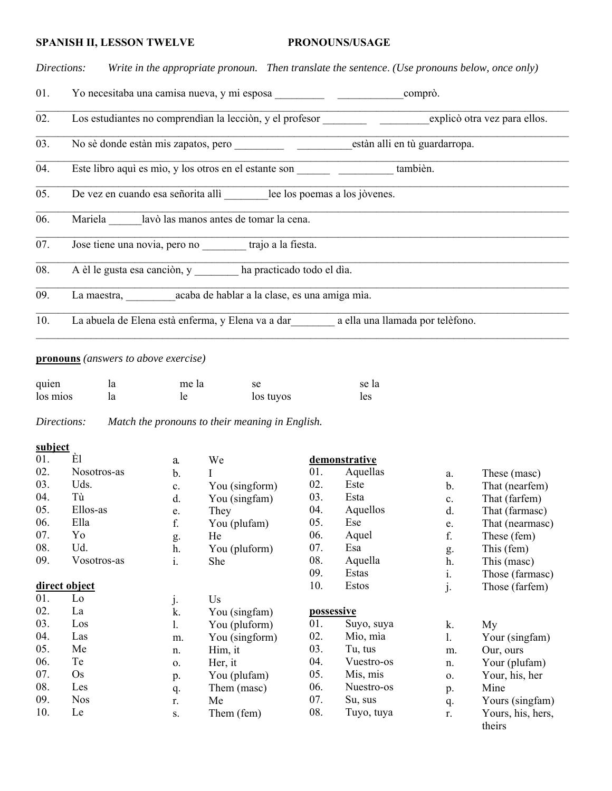#### PRONOUNS/USAGE

Write in the appropriate pronoun. Then translate the sentence. (Use pronouns below, once only) Directions:

- 01.
- Los estudiantes no comprendían la lección, y el profesor en explició otra vez para ellos.  $\overline{02}$ .
- No sè donde estàn mis zapatos, pero estàn alli en tù guardarropa.  $\overline{03}$ .
- Este libro aquì es mìo, y los otros en el estante son también.  $\overline{04}$ .
- $\overline{05}$ . De vez en cuando esa señorita alli lee los poemas a los jòvenes.
- 06. Mariela lavò las manos antes de tomar la cena.
- $\overline{07}$ . Jose tiene una novia, pero no trajo a la fiesta.
- $\overline{08}$ . A èl le gusta esa canción, y ha practicado todo el día.
- La maestra, acaba de hablar a la clase, es una amiga mìa.  $\overline{09}$ .
- 10. La abuela de Elena està enferma, y Elena va a dar a ella una llamada por telèfono.

#### **pronouns** (answers to above exercise)

| quien    | ıa | me la | se        | se la |
|----------|----|-------|-----------|-------|
| los mios | la |       | los tuyos | les   |

Directions: Match the pronouns to their meaning in English.

#### subject

| 01. | Èl            | a.             | We             |     | demonstrative |                |                   |
|-----|---------------|----------------|----------------|-----|---------------|----------------|-------------------|
| 02. | Nosotros-as   | b.             |                | 01. | Aquellas      | a.             | These (masc)      |
| 03. | Uds.          | c.             | You (singform) | 02. | Este          | $\mathbf b$ .  | That (nearfem)    |
| 04. | Tù            | d.             | You (singfam)  | 03. | Esta          | $\mathbf{c}$ . | That (farfem)     |
| 05. | Ellos-as      | e.             | They           | 04. | Aquellos      | d.             | That (farmasc)    |
| 06. | Ella          | f.             | You (plufam)   | 05. | Ese           | e.             | That (nearmasc)   |
| 07. | Yo            | g.             | He             | 06. | Aquel         | f.             | These (fem)       |
| 08. | Ud.           | h.             | You (pluform)  | 07. | Esa           | g.             | This (fem)        |
| 09. | Vosotros-as   | $\mathbf{i}$ . | She            | 08. | Aquella       | h.             | This (mase)       |
|     |               |                |                | 09. | Estas         | 1.             | Those (farmasc)   |
|     | direct object |                |                | 10. | Estos         | j.             | Those (farfem)    |
| 01. | Lo            | j.             | Us             |     |               |                |                   |
| 02. | La            | k.             | You (singfam)  |     | possessive    |                |                   |
| 03. | Los           | 1.             | You (pluform)  | 01. | Suyo, suya    | k.             | My                |
| 04. | Las           | m.             | You (singform) | 02. | Mìo, mìa      | 1.             | Your (singfam)    |
| 05. | Me            | n.             | Him, it        | 03. | Tu, tus       | m.             | Our, ours         |
| 06. | Te            | $\mathbf{O}$ . | Her, it        | 04. | Vuestro-os    | n.             | Your (plufam)     |
| 07. | Os            | p.             | You (plufam)   | 05. | Mis, mis      | 0.             | Your, his, her    |
| 08. | Les           | q.             | Them (masc)    | 06. | Nuestro-os    | p.             | Mine              |
| 09. | <b>Nos</b>    | r.             | Me             | 07. | Su, sus       | q.             | Yours (singfam)   |
| 10. | Le            | S.             | Them (fem)     | 08. | Tuyo, tuya    | r.             | Yours, his, hers, |
|     |               |                |                |     |               |                | theirs            |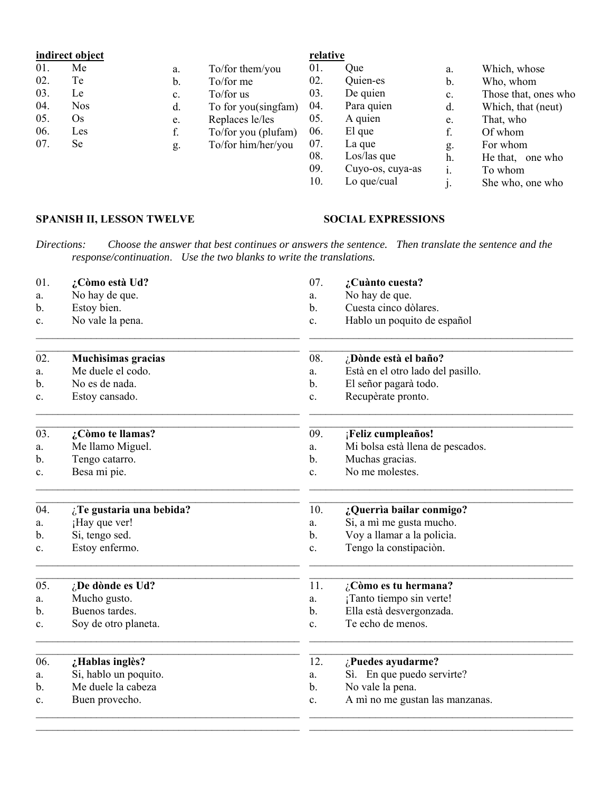# indirect object

| 01. | Me         | a. | To/for them/you     | 01. | <b>Oue</b>  |
|-----|------------|----|---------------------|-----|-------------|
| 02. | Te         | b. | To/for me           | 02. | Quien-es    |
| 03. | Le         | c. | To/for us           | 03. | De quien    |
| 04. | <b>Nos</b> | d. | To for you(singfam) | 04. | Para quien  |
| 05. | Os         | e. | Replaces le/les     | 05. | A quien     |
| 06. | Les        | f. | To/for you (plufam) | 06. | El que      |
| 07. | Se         | g. | To/for him/her/you  | 07. | La que      |
|     |            |    |                     | 08. | Los/las que |

#### Which, whose a. Who, whom  $\mathbf b$ . Those that, ones who  $\mathbf{c}$ .  $d.$ Which, that (neut) That, who e. f. Of whom For whom g. He that, one who h. Los/las que<br>Cuyo-os, cuya-as 09.  $\mathbf{i}$ . To whom  $10.$ Lo que/cual  $j<sub>1</sub>$ She who, one who

#### SPANISH II, LESSON TWELVE

### **SOCIAL EXPRESSIONS**

Directions: Choose the answer that best continues or answers the sentence. Then translate the sentence and the response/continuation. Use the two blanks to write the translations.

relative

| 01. | ¿Còmo està Ud?            | 07. | ¿Cuànto cuesta?                   |  |
|-----|---------------------------|-----|-----------------------------------|--|
| a.  | No hay de que.            | a.  | No hay de que.                    |  |
| b.  | Estoy bien.               | b.  | Cuesta cinco dòlares.             |  |
| c.  | No vale la pena.          | c.  | Hablo un poquito de español       |  |
| 02. | <b>Muchisimas gracias</b> | 08. | ¿Dònde està el baño?              |  |
| a.  | Me duele el codo.         | a.  | Està en el otro lado del pasillo. |  |
| b.  | No es de nada.            | b.  | El señor pagarà todo.             |  |
| c.  | Estoy cansado.            | c.  | Recupèrate pronto.                |  |
| 03. | ¿Còmo te llamas?          | 09. | ¡Feliz cumpleaños!                |  |
| a.  | Me llamo Miguel.          | a.  | Mi bolsa està llena de pescados.  |  |
| b.  | Tengo catarro.            | b.  | Muchas gracias.                   |  |
| c.  | Besa mi pie.              | c.  | No me molestes.                   |  |
| 04. | ¿Te gustaria una bebida?  | 10. | ¿Querrìa bailar conmigo?          |  |
| a.  | ¡Hay que ver!             | a.  | Si, a mì me gusta mucho.          |  |
| b.  | Si, tengo sed.            | b.  | Voy a llamar a la policia.        |  |
| c.  | Estoy enfermo.            | c.  | Tengo la constipaciòn.            |  |
| 05. | ¿De dònde es Ud?          | 11. | ¿Còmo es tu hermana?              |  |
| a.  | Mucho gusto.              | a.  | ¡Tanto tiempo sin verte!          |  |
| b.  | Buenos tardes.            | b.  | Ella està desvergonzada.          |  |
| c.  | Soy de otro planeta.      | c.  | Te echo de menos.                 |  |
| 06. | ¿Hablas inglès?           | 12. | ¿Puedes ayudarme?                 |  |
| a.  | Si, hablo un poquito.     | a.  | Sì. En que puedo servirte?        |  |
| b.  | Me duele la cabeza        | b.  | No vale la pena.                  |  |
| c.  | Buen provecho.            | c.  | A mì no me gustan las manzanas.   |  |
|     |                           |     |                                   |  |